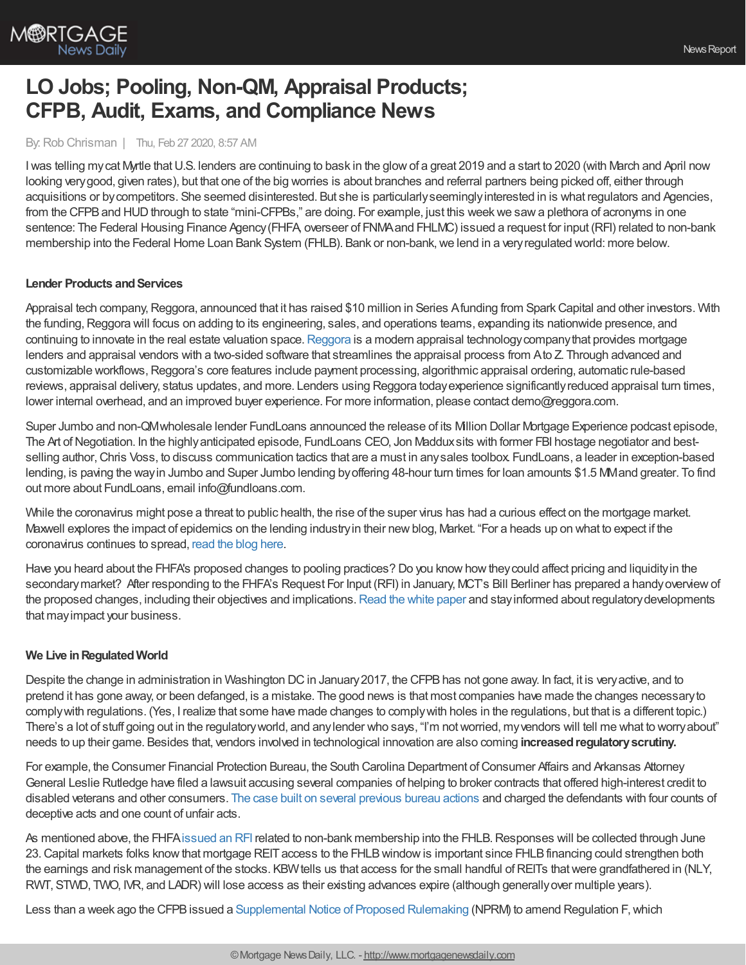

# **LO Jobs; Pooling, Non-QM, Appraisal Products; CFPB, Audit, Exams, and Compliance News**

#### By:Rob Chrisman | Thu, Feb 27 2020, 8:57 AM

I was telling my cat Myrtle that U.S. lenders are continuing to bask in the glow of a great 2019 and a start to 2020 (with March and April now looking verygood, given rates), but that one of the big worries is about branches and referral partners being picked off, either through acquisitions or bycompetitors. She seemed disinterested. But she is particularlyseeminglyinterested in is what regulators and Agencies, from the CFPB and HUD through to state "mini-CFPBs," are doing. For example, just this week we saw a plethora of acronyms in one sentence: The Federal Housing Finance Agency(FHFA, overseer of FNMAand FHLMC) issued a request for input (RFI) related to non-bank membership into the Federal Home Loan Bank System (FHLB). Bank or non-bank, we lend in a very regulated world: more below.

### **Lender Products and Services**

Appraisal tech company, Reggora, announced that it has raised \$10 million in Series Afunding from Spark Capital and other investors. With the funding, Reggora will focus on adding to its engineering, sales, and operations teams, expanding its nationwide presence, and continuing to innovate in the real estate valuation space. [Reggora](https://www.reggora.com/reggora-raises-10-million-series-a-led-by-spark-capital/) is a modern appraisal technology company that provides mortgage lenders and appraisal vendors with a two-sided software that streamlines the appraisal process from Ato Z. Through advanced and customizable workflows, Reggora's core features include payment processing, algorithmic appraisal ordering, automatic rule-based reviews, appraisal delivery, status updates, and more. Lenders using Reggora todayexperience significantlyreduced appraisal turn times, lower internal overhead, and an improved buyer experience. For more information, please contact demo@reggora.com.

Super Jumbo and non-QMwholesale lender FundLoans announced the release of its Million Dollar Mortgage Experience podcast episode, The Art of Negotiation. In the highly anticipated episode, FundLoans CEO, Jon Maddux sits with former FBI hostage negotiator and bestselling author, Chris Voss, to discuss communication tactics that are a must in any sales toolbox. FundLoans, a leader in exception-based lending, is paving the wayin Jumbo and Super Jumbo lending byoffering 48-hour turn times for loan amounts \$1.5 MMand greater. To find out more about FundLoans, email info@fundloans.com.

While the coronavirus might pose a threat to public health, the rise of the super virus has had a curious effect on the mortgage market. Maxwell explores the impact of epidemics on the lending industryin their newblog, Market. "For a heads up on what to expect if the coronavirus continues to spread, [read](https://himaxwell.com/blog/coronavirus-mortgage-industry-impact-epidemics-mortgage-market) the blog here.

Have you heard about the FHFA's proposed changes to pooling practices? Do you knowhowtheycould affect pricing and liquidityin the secondary market? After responding to the FHFA's Request For Input (RFI) in January, MCT's Bill Berliner has prepared a handy overview of the proposed changes, including their objectives and implications. Read the white [paper](https://mct-trading.com/mct-whitepaper-response-fhfa-proposed-changes/?utm_source=Rob%20Chrisman&utm_medium=FHFA&utm_campaign=Chrisman%20Editorial%20Blurb%20FHFA) and stay informed about regulatory developments that mayimpact your business.

### **We Live inRegulatedWorld**

Despite the change in administration in Washington DC in January 2017, the CFPB has not gone away. In fact, it is very active, and to pretend it has gone away, or been defanged, is a mistake. The good news is that most companies have made the changes necessaryto complywith regulations. (Yes, I realize that some have made changes to complywith holes in the regulations, but that is a different topic.) There's a lot of stuff going out in the regulatoryworld, and anylender who says, "I'm notworried, myvendors will tell me what to worryabout" needs to up their game. Besides that, vendors involved in technological innovation are also coming **increasedregulatoryscrutiny.**

For example, the Consumer Financial Protection Bureau, the South Carolina Department of Consumer Affairs and Arkansas Attorney General Leslie Rutledge have filed a lawsuit accusing several companies of helping to broker contracts that offered high-interest credit to disabled veterans and other consumers. The case built on several [previous](https://www.consumerfinance.gov/about-us/newsroom/cfpb-south-carolina-arkansas-file-suit-against-brokers-of-high-interest-credit-offers/) bureau actions and charged the defendants with four counts of deceptive acts and one count of unfair acts.

As mentioned above, the FHFA [issued](https://www.fhfa.gov/Media/PublicAffairs/Pages/FHFA-Issues-RFI-on-FHLBank-Membership.aspx) an RFI related to non-bank membership into the FHLB. Responses will be collected through June 23. Capital markets folks know that mortgage REIT access to the FHLB window is important since FHLB financing could strengthen both the earnings and risk management of the stocks. KBW tells us that access for the small handful of REITs that were grandfathered in (NLY, RWT, STWD, TWO, IVR, and LADR) will lose access as their existing advances expire (although generallyover multiple years).

Less than a week ago the CFPB issued a [Supplemental](https://files.consumerfinance.gov/f/documents/cfpb_debt-collection_supplemental-nprm.pdf?) Notice of Proposed Rulemaking (NPRM) to amend Regulation F, which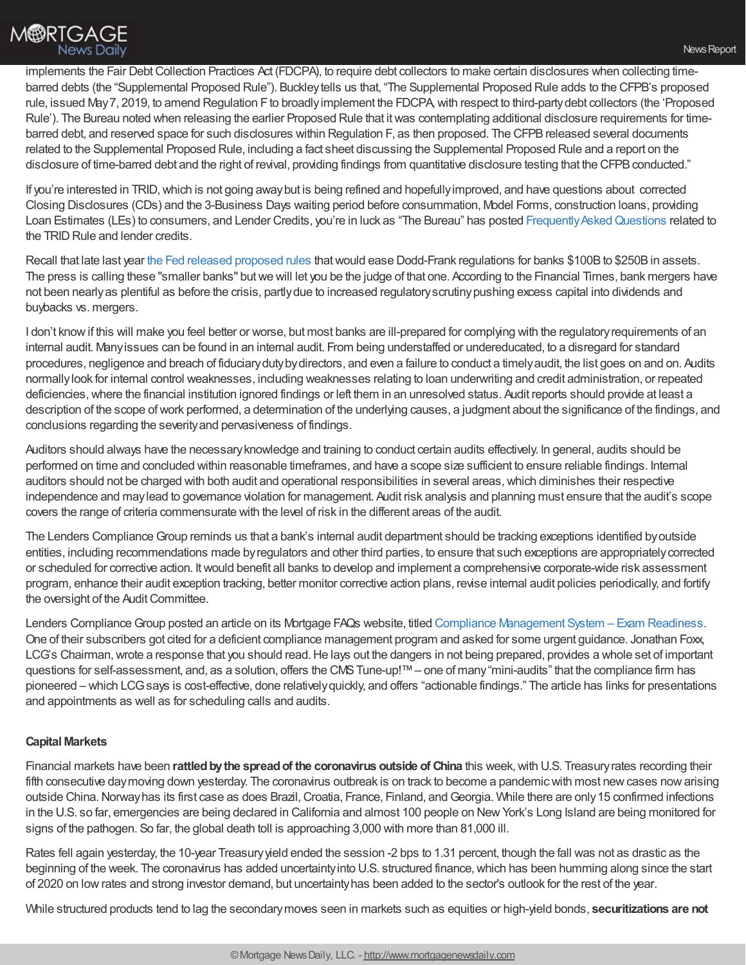implements the Fair Debt Collection Practices Act (FDCPA), to require debt collectors to make certain disclosures when collecting timebarred debts (the "Supplemental Proposed Rule"). Buckleytells us that, "The Supplemental Proposed Rule adds to the CFPB's proposed rule, issued May7, 2019, to amend Regulation Fto broadlyimplement the FDCPA,with respect to third-partydebt collectors (the 'Proposed Rule'). The Bureau noted when releasing the earlier Proposed Rule that it was contemplating additional disclosure requirements for timebarred debt, and reserved space for such disclosures within Regulation F, as then proposed. The CFPB released several documents related to the Supplemental Proposed Rule, including a fact sheet discussing the Supplemental Proposed Rule and a report on the disclosure of time-barred debt and the right of revival, providing findings from quantitative disclosure testing that the CFPB conducted."

If you're interested in TRID,which is not going awaybut is being refined and hopefullyimproved, and have questions about corrected Closing Disclosures (CDs) and the 3-Business Days waiting period before consummation, Model Forms, construction loans, providing Loan Estimates (LEs) to consumers, and Lender Credits, you're in luck as "The Bureau" has posted Frequently Asked Questions related to the TRID Rule and lender credits.

Recall that late last year the Fed released [proposed](https://www.cnbc.com/2018/10/31/fed-sets-new-rules-to-ease-regulations-on-smaller-banks.html) rules that would ease Dodd-Frank regulations for banks \$100B to \$250B in assets. The press is calling these "smaller banks" butwe will let you be the judge of that one. According to the Financial Times, bank mergers have not been nearlyas plentiful as before the crisis, partlydue to increased regulatoryscrutinypushing excess capital into dividends and buybacks vs. mergers.

I don't know if this will make you feel better or worse, but most banks are ill-prepared for complying with the regulatory requirements of an internal audit. Manyissues can be found in an internal audit. From being understaffed or undereducated, to a disregard for standard procedures, negligence and breach of fiduciarydutybydirectors, and even a failure to conduct a timelyaudit, the list goes on and on. Audits normallylook for internal control weaknesses, including weaknesses relating to loan underwriting and credit administration, or repeated deficiencies, where the financial institution ignored findings or left them in an unresolved status. Audit reports should provide at least a description of the scope ofwork performed, a determination of the underlying causes, a judgment about the significance of the findings, and conclusions regarding the severityand pervasiveness of findings.

Auditors should always have the necessaryknowledge and training to conduct certain audits effectively. In general, audits should be performed on time and concluded within reasonable timeframes, and have a scope size sufficient to ensure reliable findings. Internal auditors should not be charged with both audit and operational responsibilities in several areas,which diminishes their respective independence and maylead to governance violation for management. Audit risk analysis and planning must ensure that the audit's scope covers the range of criteria commensurate with the level of risk in the different areas of the audit.

The Lenders Compliance Group reminds us that a bank's internal audit department should be tracking exceptions identified by outside entities, including recommendations made byregulators and other third parties, to ensure that such exceptions are appropriatelycorrected or scheduled for corrective action. Itwould benefit all banks to develop and implement a comprehensive corporate-wide risk assessment program, enhance their audit exception tracking, better monitor corrective action plans, revise internal audit policies periodically, and fortify the oversight of the Audit Committee.

Lenders Compliance Group posted an article on its Mortgage FAQs website, titled Compliance [Management](https://mortgage-faqs.blogspot.com/2019/07/compliance-management-system-exam.html) System – Exam Readiness. One of their subscribers got cited for a deficient compliance management program and asked for some urgent guidance. Jonathan Foxx, LCG's Chairman, wrote a response that you should read. He lays out the dangers in not being prepared, provides a whole set of important questions for self-assessment, and, as a solution, offers the CMS Tune-up!™ – one of many "mini-audits" that the compliance firm has pioneered – which LCGsays is cost-effective, done relativelyquickly, and offers "actionable findings." The article has links for presentations and appointments as well as for scheduling calls and audits.

## **Capital Markets**

Financial markets have been **rattledbythe spreadof the coronavirus outside of China** this week,with U.S. Treasuryrates recording their fifth consecutive day moving down yesterday. The coronavirus outbreak is on track to become a pandemic with most new cases now arising outside China. Norway has its first case as does Brazil, Croatia, France, Finland, and Georgia. While there are only 15 confirmed infections in the U.S. so far, emergencies are being declared in California and almost 100 people on NewYork's Long Island are being monitored for signs of the pathogen. So far, the global death toll is approaching 3,000 with more than 81,000 ill.

Rates fell again yesterday, the 10-year Treasuryyield ended the session -2 bps to 1.31 percent, though the fall was not as drastic as the beginning of the week. The coronavirus has added uncertainty into U.S. structured finance, which has been humming along since the start of 2020 on lowrates and strong investor demand, but uncertaintyhas been added to the sector's outlook for the rest of the year.

While structured products tend to lag the secondarymoves seen in markets such as equities or high-yield bonds, **securitizations are not**